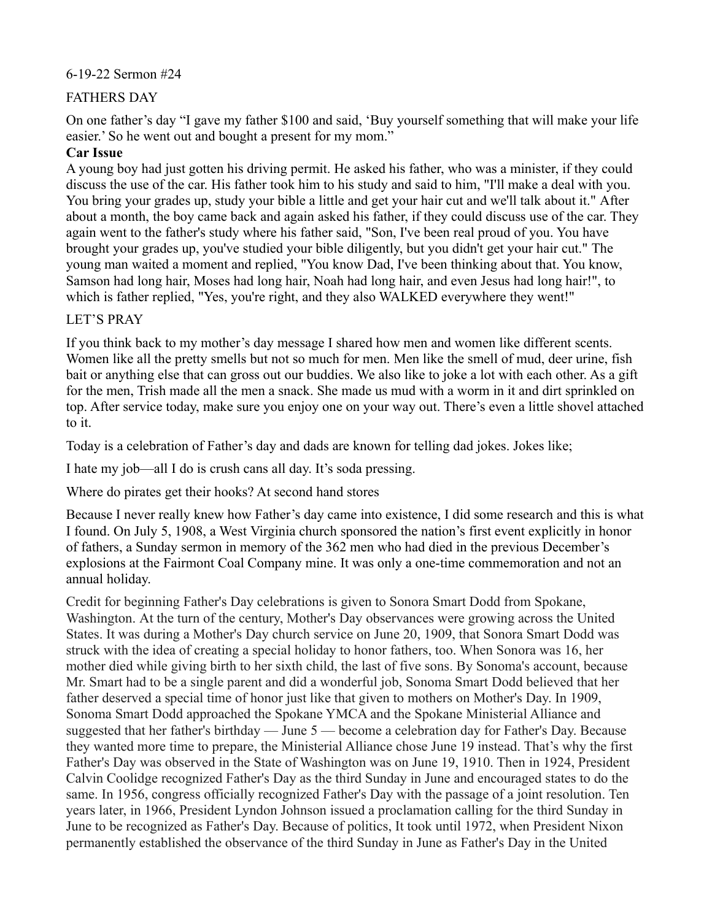## 6-19-22 Sermon #24

## FATHERS DAY

On one father's day "I gave my father \$100 and said, 'Buy yourself something that will make your life easier.' So he went out and bought a present for my mom."

## **Car Issue**

A young boy had just gotten his driving permit. He asked his father, who was a minister, if they could discuss the use of the car. His father took him to his study and said to him, "I'll make a deal with you. You bring your grades up, study your bible a little and get your hair cut and we'll talk about it." After about a month, the boy came back and again asked his father, if they could discuss use of the car. They again went to the father's study where his father said, "Son, I've been real proud of you. You have brought your grades up, you've studied your bible diligently, but you didn't get your hair cut." The young man waited a moment and replied, "You know Dad, I've been thinking about that. You know, Samson had long hair, Moses had long hair, Noah had long hair, and even Jesus had long hair!", to which is father replied, "Yes, you're right, and they also WALKED everywhere they went!"

## LET'S PRAY

If you think back to my mother's day message I shared how men and women like different scents. Women like all the pretty smells but not so much for men. Men like the smell of mud, deer urine, fish bait or anything else that can gross out our buddies. We also like to joke a lot with each other. As a gift for the men, Trish made all the men a snack. She made us mud with a worm in it and dirt sprinkled on top. After service today, make sure you enjoy one on your way out. There's even a little shovel attached to it.

Today is a celebration of Father's day and dads are known for telling dad jokes. Jokes like;

I hate my job—all I do is crush cans all day. It's soda pressing.

Where do pirates get their hooks? At second hand stores

Because I never really knew how Father's day came into existence, I did some research and this is what I found. On July 5, 1908, a West [Virginia](https://www.history.com/topics/us-states/virginia) church sponsored the nation's first event explicitly in honor of fathers, a Sunday sermon in memory of the 362 men who had died in the previous December's explosions at the Fairmont Coal Company mine. It was only a one-time commemoration and not an annual holiday.

Credit for beginning Father's Day celebrations is given to Sonora Smart Dodd from Spokane, Washington. At the turn of the century, Mother's Day observances were growing across the United States. It was during a Mother's Day church service on June 20, 1909, that Sonora Smart Dodd was struck with the idea of creating a special holiday to honor fathers, too. When Sonora was 16, her mother died while giving birth to her sixth child, the last of five sons. By Sonoma's account, because Mr. Smart had to be a single parent and did a wonderful job, Sonoma Smart Dodd believed that her father deserved a special time of honor just like that given to mothers on Mother's Day. In 1909, Sonoma Smart Dodd approached the Spokane YMCA and the Spokane Ministerial Alliance and suggested that her father's birthday — June 5 — become a celebration day for Father's Day. Because they wanted more time to prepare, the Ministerial Alliance chose June 19 instead. That's why the first Father's Day was observed in the State of Washington was on June 19, 1910. Then in 1924, President Calvin Coolidge recognized Father's Day as the third Sunday in June and encouraged states to do the same. In 1956, congress officially recognized Father's Day with the passage of a joint resolution. Ten years later, in 1966, President Lyndon Johnson issued a proclamation calling for the third Sunday in June to be recognized as Father's Day. Because of politics, It took until 1972, when President Nixon permanently established the observance of the third Sunday in June as Father's Day in the United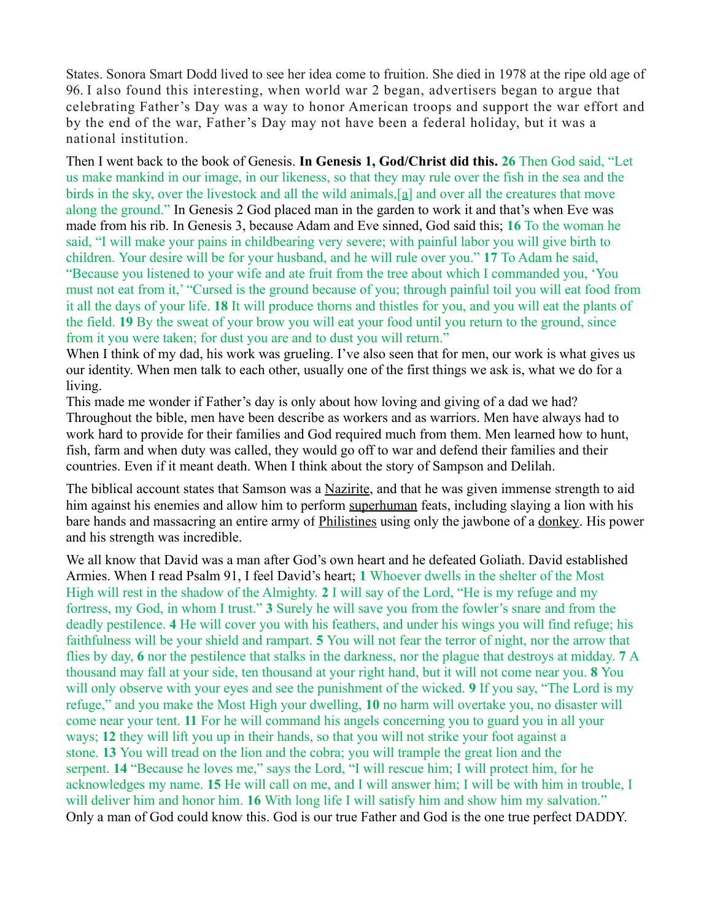States. Sonora Smart Dodd lived to see her idea come to fruition. She died in 1978 at the ripe old age of 96. I also found this interesting, when world war 2 began, advertisers began to argue that celebrating Father's Day was a way to honor American troops and support the war effort and by the end of the war, Father's Day may not have been a federal holiday, but it was a national institution.

Then I went back to the book of Genesis. **In Genesis 1, God/Christ did this. 26** Then God said, "Let us make mankind in our image, in our likeness, so that they may rule over the fish in the sea and the birds in the sky, over the livestock and all the wild animals, [\[a\]](https://www.biblegateway.com/passage/?search=Genesis+1&version=NIV#fen-NIV-26a) and over all the creatures that move along the ground." In Genesis 2 God placed man in the garden to work it and that's when Eve was made from his rib. In Genesis 3, because Adam and Eve sinned, God said this; **16** To the woman he said, "I will make your pains in childbearing very severe; with painful labor you will give birth to children. Your desire will be for your husband, and he will rule over you." **17** To Adam he said, "Because you listened to your wife and ate fruit from the tree about which I commanded you, 'You must not eat from it,' "Cursed is the ground because of you; through painful toil you will eat food from it all the days of your life. **18** It will produce thorns and thistles for you, and you will eat the plants of the field. **19** By the sweat of your brow you will eat your food until you return to the ground, since from it you were taken; for dust you are and to dust you will return."

When I think of my dad, his work was grueling. I've also seen that for men, our work is what gives us our identity. When men talk to each other, usually one of the first things we ask is, what we do for a living.

This made me wonder if Father's day is only about how loving and giving of a dad we had? Throughout the bible, men have been describe as workers and as warriors. Men have always had to work hard to provide for their families and God required much from them. Men learned how to hunt, fish, farm and when duty was called, they would go off to war and defend their families and their countries. Even if it meant death. When I think about the story of Sampson and Delilah.

The biblical account states that Samson was a [Nazirite,](https://en.wikipedia.org/wiki/Nazirite) and that he was given immense strength to aid him against his enemies and allow him to perform [superhuman](https://en.wikipedia.org/wiki/Superhuman) feats, including slaying a lion with his bare hands and massacring an entire army of [Philistines](https://en.wikipedia.org/wiki/Philistines) using only the jawbone of a [donkey.](https://en.wikipedia.org/wiki/Donkey) His power and his strength was incredible.

We all know that David was a man after God's own heart and he defeated Goliath. David established Armies. When I read Psalm 91, I feel David's heart; **1** Whoever dwells in the shelter of the Most High will rest in the shadow of the Almighty. **2** I will say of the Lord, "He is my refuge and my fortress, my God, in whom I trust." **3** Surely he will save you from the fowler's snare and from the deadly pestilence. **4** He will cover you with his feathers, and under his wings you will find refuge; his faithfulness will be your shield and rampart. **5** You will not fear the terror of night, nor the arrow that flies by day, **6** nor the pestilence that stalks in the darkness, nor the plague that destroys at midday. **7** A thousand may fall at your side, ten thousand at your right hand, but it will not come near you. **8** You will only observe with your eyes and see the punishment of the wicked. **9** If you say, "The Lord is my refuge," and you make the Most High your dwelling, **10** no harm will overtake you, no disaster will come near your tent. **11** For he will command his angels concerning you to guard you in all your ways; **12** they will lift you up in their hands, so that you will not strike your foot against a stone. **13** You will tread on the lion and the cobra; you will trample the great lion and the serpent. **14** "Because he loves me," says the Lord, "I will rescue him; I will protect him, for he acknowledges my name. **15** He will call on me, and I will answer him; I will be with him in trouble, I will deliver him and honor him. **16** With long life I will satisfy him and show him my salvation." Only a man of God could know this. God is our true Father and God is the one true perfect DADDY.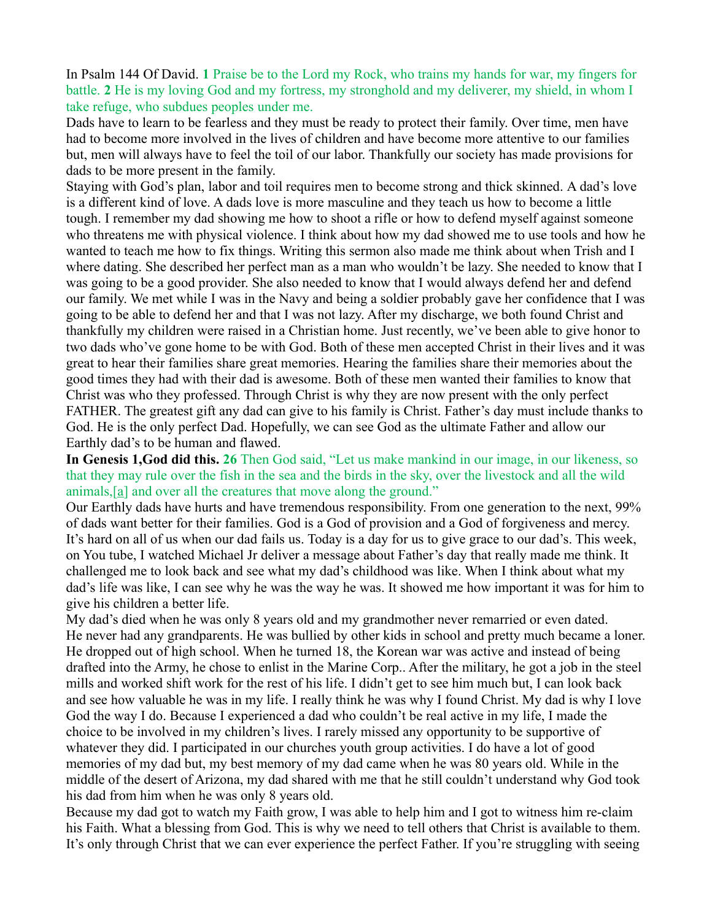In Psalm 144 Of David. **1** Praise be to the Lord my Rock, who trains my hands for war, my fingers for battle. **2** He is my loving God and my fortress, my stronghold and my deliverer, my shield, in whom I take refuge, who subdues peoples under me.

Dads have to learn to be fearless and they must be ready to protect their family. Over time, men have had to become more involved in the lives of children and have become more attentive to our families but, men will always have to feel the toil of our labor. Thankfully our society has made provisions for dads to be more present in the family.

Staying with God's plan, labor and toil requires men to become strong and thick skinned. A dad's love is a different kind of love. A dads love is more masculine and they teach us how to become a little tough. I remember my dad showing me how to shoot a rifle or how to defend myself against someone who threatens me with physical violence. I think about how my dad showed me to use tools and how he wanted to teach me how to fix things. Writing this sermon also made me think about when Trish and I where dating. She described her perfect man as a man who wouldn't be lazy. She needed to know that I was going to be a good provider. She also needed to know that I would always defend her and defend our family. We met while I was in the Navy and being a soldier probably gave her confidence that I was going to be able to defend her and that I was not lazy. After my discharge, we both found Christ and thankfully my children were raised in a Christian home. Just recently, we've been able to give honor to two dads who've gone home to be with God. Both of these men accepted Christ in their lives and it was great to hear their families share great memories. Hearing the families share their memories about the good times they had with their dad is awesome. Both of these men wanted their families to know that Christ was who they professed. Through Christ is why they are now present with the only perfect FATHER. The greatest gift any dad can give to his family is Christ. Father's day must include thanks to God. He is the only perfect Dad. Hopefully, we can see God as the ultimate Father and allow our Earthly dad's to be human and flawed.

**In Genesis 1,God did this. 26** Then God said, "Let us make mankind in our image, in our likeness, so that they may rule over the fish in the sea and the birds in the sky, over the livestock and all the wild animals,[\[a\]](https://www.biblegateway.com/passage/?search=Genesis+1&version=NIV#fen-NIV-26a) and over all the creatures that move along the ground."

Our Earthly dads have hurts and have tremendous responsibility. From one generation to the next, 99% of dads want better for their families. God is a God of provision and a God of forgiveness and mercy. It's hard on all of us when our dad fails us. Today is a day for us to give grace to our dad's. This week, on You tube, I watched Michael Jr deliver a message about Father's day that really made me think. It challenged me to look back and see what my dad's childhood was like. When I think about what my dad's life was like, I can see why he was the way he was. It showed me how important it was for him to give his children a better life.

My dad's died when he was only 8 years old and my grandmother never remarried or even dated. He never had any grandparents. He was bullied by other kids in school and pretty much became a loner. He dropped out of high school. When he turned 18, the Korean war was active and instead of being drafted into the Army, he chose to enlist in the Marine Corp.. After the military, he got a job in the steel mills and worked shift work for the rest of his life. I didn't get to see him much but, I can look back and see how valuable he was in my life. I really think he was why I found Christ. My dad is why I love God the way I do. Because I experienced a dad who couldn't be real active in my life, I made the choice to be involved in my children's lives. I rarely missed any opportunity to be supportive of whatever they did. I participated in our churches youth group activities. I do have a lot of good memories of my dad but, my best memory of my dad came when he was 80 years old. While in the middle of the desert of Arizona, my dad shared with me that he still couldn't understand why God took his dad from him when he was only 8 years old.

Because my dad got to watch my Faith grow, I was able to help him and I got to witness him re-claim his Faith. What a blessing from God. This is why we need to tell others that Christ is available to them. It's only through Christ that we can ever experience the perfect Father. If you're struggling with seeing